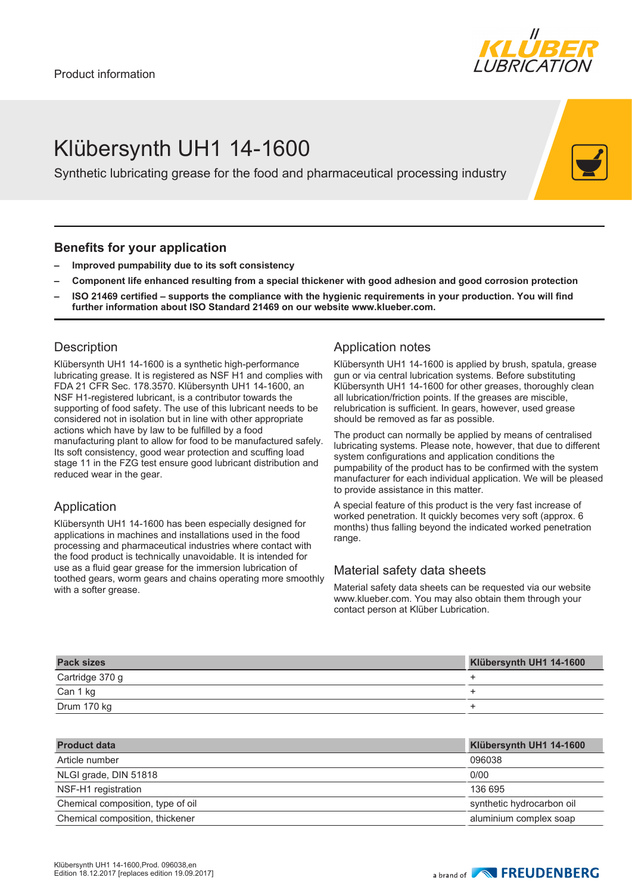

# Klübersynth UH1 14-1600

Synthetic lubricating grease for the food and pharmaceutical processing industry

#### **Benefits for your application**

- **– Improved pumpability due to its soft consistency**
- **– Component life enhanced resulting from a special thickener with good adhesion and good corrosion protection**
- **– ISO 21469 certified supports the compliance with the hygienic requirements in your production. You will find further information about ISO Standard 21469 on our website www.klueber.com.**

### **Description**

Klübersynth UH1 14-1600 is a synthetic high-performance lubricating grease. It is registered as NSF H1 and complies with FDA 21 CFR Sec. 178.3570. Klübersynth UH1 14-1600, an NSF H1-registered lubricant, is a contributor towards the supporting of food safety. The use of this lubricant needs to be considered not in isolation but in line with other appropriate actions which have by law to be fulfilled by a food manufacturing plant to allow for food to be manufactured safely. Its soft consistency, good wear protection and scuffing load stage 11 in the FZG test ensure good lubricant distribution and reduced wear in the gear.

## Application

Klübersynth UH1 14-1600 has been especially designed for applications in machines and installations used in the food processing and pharmaceutical industries where contact with the food product is technically unavoidable. It is intended for use as a fluid gear grease for the immersion lubrication of toothed gears, worm gears and chains operating more smoothly with a softer grease.

### Application notes

Klübersynth UH1 14-1600 is applied by brush, spatula, grease gun or via central lubrication systems. Before substituting Klübersynth UH1 14-1600 for other greases, thoroughly clean all lubrication/friction points. If the greases are miscible, relubrication is sufficient. In gears, however, used grease should be removed as far as possible.

The product can normally be applied by means of centralised lubricating systems. Please note, however, that due to different system configurations and application conditions the pumpability of the product has to be confirmed with the system manufacturer for each individual application. We will be pleased to provide assistance in this matter.

A special feature of this product is the very fast increase of worked penetration. It quickly becomes very soft (approx. 6 months) thus falling beyond the indicated worked penetration range.

## Material safety data sheets

Material safety data sheets can be requested via our website www.klueber.com. You may also obtain them through your contact person at Klüber Lubrication.

| <b>Pack sizes</b> | Klübersynth UH1 14-1600 |
|-------------------|-------------------------|
| Cartridge 370 g   |                         |
| Can 1 kg          |                         |
| Drum 170 kg       |                         |

| <b>Product data</b>               | Klübersynth UH1 14-1600   |
|-----------------------------------|---------------------------|
| Article number                    | 096038                    |
| NLGI grade, DIN 51818             | 0/00                      |
| NSF-H1 registration               | 136 695                   |
| Chemical composition, type of oil | synthetic hydrocarbon oil |
| Chemical composition, thickener   | aluminium complex soap    |